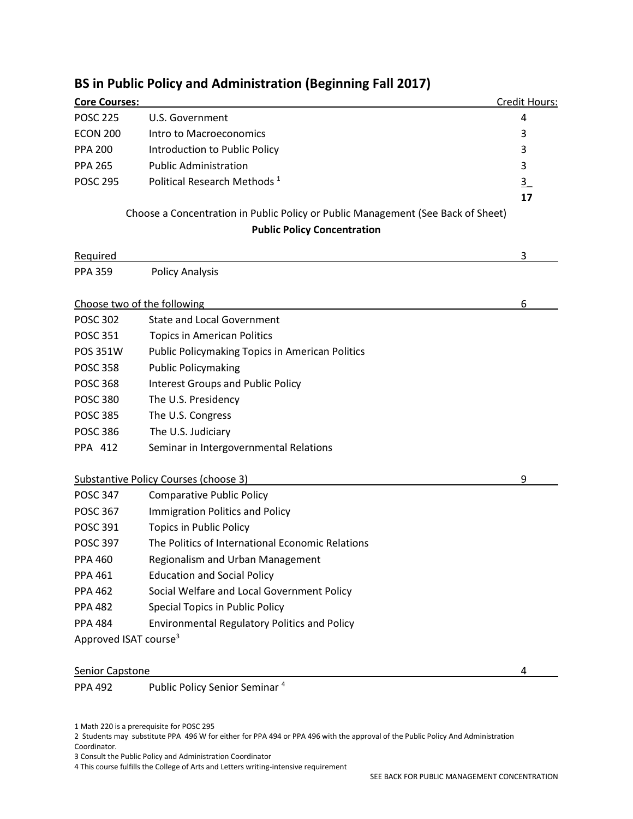| <b>Core Courses:</b>                                                               |                                                                                  | Credit Hours: |
|------------------------------------------------------------------------------------|----------------------------------------------------------------------------------|---------------|
| <b>POSC 225</b>                                                                    | U.S. Government                                                                  | 4             |
| <b>ECON 200</b>                                                                    | Intro to Macroeconomics                                                          | 3             |
| <b>PPA 200</b>                                                                     | Introduction to Public Policy                                                    | 3             |
| <b>PPA 265</b>                                                                     | <b>Public Administration</b>                                                     | 3             |
| <b>POSC 295</b>                                                                    | Political Research Methods <sup>1</sup>                                          | $\frac{3}{2}$ |
|                                                                                    |                                                                                  | 17            |
|                                                                                    | Choose a Concentration in Public Policy or Public Management (See Back of Sheet) |               |
|                                                                                    | <b>Public Policy Concentration</b>                                               |               |
| Required                                                                           |                                                                                  | 3             |
| <b>PPA 359</b>                                                                     | <b>Policy Analysis</b>                                                           |               |
|                                                                                    |                                                                                  |               |
| Choose two of the following<br><u> 1989 - Johann Barbara, martxa alemaniar arg</u> |                                                                                  | 6             |
| <b>POSC 302</b>                                                                    | <b>State and Local Government</b>                                                |               |
| <b>POSC 351</b>                                                                    | <b>Topics in American Politics</b>                                               |               |
| POS 351W                                                                           | <b>Public Policymaking Topics in American Politics</b>                           |               |
| <b>POSC 358</b>                                                                    | <b>Public Policymaking</b>                                                       |               |
| <b>POSC 368</b>                                                                    | <b>Interest Groups and Public Policy</b>                                         |               |
| <b>POSC 380</b>                                                                    | The U.S. Presidency                                                              |               |
| <b>POSC 385</b>                                                                    | The U.S. Congress                                                                |               |
| <b>POSC 386</b>                                                                    | The U.S. Judiciary                                                               |               |
| PPA 412                                                                            | Seminar in Intergovernmental Relations                                           |               |
|                                                                                    | <b>Substantive Policy Courses (choose 3)</b>                                     | 9             |
| <b>POSC 347</b>                                                                    | <b>Comparative Public Policy</b>                                                 |               |
| <b>POSC 367</b>                                                                    | Immigration Politics and Policy                                                  |               |
| <b>POSC 391</b>                                                                    | <b>Topics in Public Policy</b>                                                   |               |
| <b>POSC 397</b>                                                                    | The Politics of International Economic Relations                                 |               |
| <b>PPA 460</b>                                                                     | Regionalism and Urban Management                                                 |               |
| <b>PPA 461</b>                                                                     | <b>Education and Social Policy</b>                                               |               |
| <b>PPA 462</b>                                                                     | Social Welfare and Local Government Policy                                       |               |
| <b>PPA 482</b>                                                                     | Special Topics in Public Policy                                                  |               |
| <b>PPA 484</b>                                                                     | <b>Environmental Regulatory Politics and Policy</b>                              |               |
| Approved ISAT course <sup>3</sup>                                                  |                                                                                  |               |
|                                                                                    |                                                                                  |               |
| <b>Senior Capstone</b>                                                             |                                                                                  | 4             |

## **BS in Public Policy and Administration (Beginning Fall 2017)**

1 Math 220 is a prerequisite for POSC 295

2 Students may substitute PPA 496 W for either for PPA 494 or PPA 496 with the approval of the Public Policy And Administration  $\blacksquare$ Coordinator.

3 Consult the Public Policy and Administration Coordinator

PPA 492 Public Policy Senior Seminar <sup>4</sup>

4 This course fulfills the College of Arts and Letters writing-intensive requirement